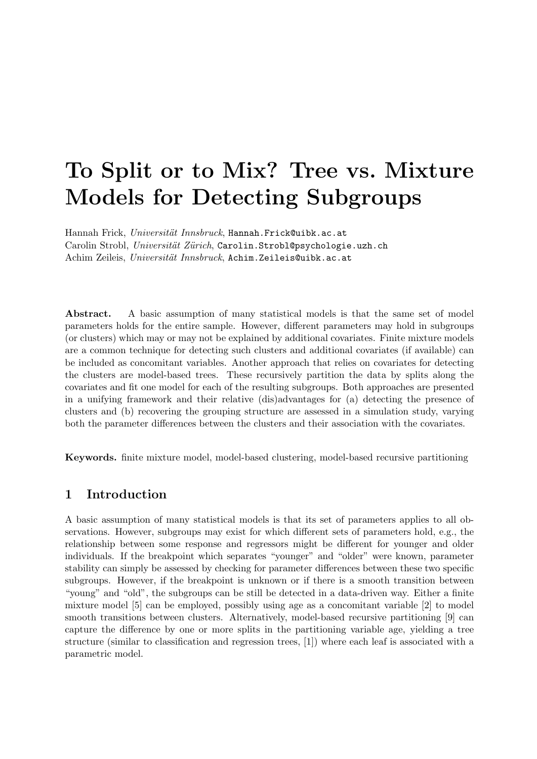# To Split or to Mix? Tree vs. Mixture Models for Detecting Subgroups

Hannah Frick, Universität Innsbruck, Hannah.Frick@uibk.ac.at Carolin Strobl, Universität Zürich, Carolin.Strobl@psychologie.uzh.ch Achim Zeileis, Universität Innsbruck, Achim. Zeileis@uibk.ac.at

Abstract. A basic assumption of many statistical models is that the same set of model parameters holds for the entire sample. However, different parameters may hold in subgroups (or clusters) which may or may not be explained by additional covariates. Finite mixture models are a common technique for detecting such clusters and additional covariates (if available) can be included as concomitant variables. Another approach that relies on covariates for detecting the clusters are model-based trees. These recursively partition the data by splits along the covariates and fit one model for each of the resulting subgroups. Both approaches are presented in a unifying framework and their relative (dis)advantages for (a) detecting the presence of clusters and (b) recovering the grouping structure are assessed in a simulation study, varying both the parameter differences between the clusters and their association with the covariates.

Keywords. finite mixture model, model-based clustering, model-based recursive partitioning

# 1 Introduction

A basic assumption of many statistical models is that its set of parameters applies to all observations. However, subgroups may exist for which different sets of parameters hold, e.g., the relationship between some response and regressors might be different for younger and older individuals. If the breakpoint which separates "younger" and "older" were known, parameter stability can simply be assessed by checking for parameter differences between these two specific subgroups. However, if the breakpoint is unknown or if there is a smooth transition between "young" and "old", the subgroups can be still be detected in a data-driven way. Either a finite mixture model [5] can be employed, possibly using age as a concomitant variable [2] to model smooth transitions between clusters. Alternatively, model-based recursive partitioning [9] can capture the difference by one or more splits in the partitioning variable age, yielding a tree structure (similar to classification and regression trees, [1]) where each leaf is associated with a parametric model.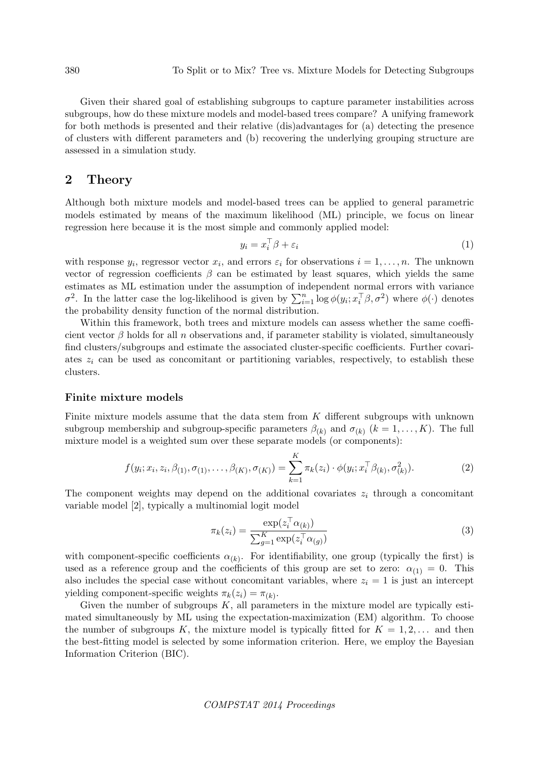Given their shared goal of establishing subgroups to capture parameter instabilities across subgroups, how do these mixture models and model-based trees compare? A unifying framework for both methods is presented and their relative (dis)advantages for (a) detecting the presence of clusters with different parameters and (b) recovering the underlying grouping structure are assessed in a simulation study.

## 2 Theory

Although both mixture models and model-based trees can be applied to general parametric models estimated by means of the maximum likelihood (ML) principle, we focus on linear regression here because it is the most simple and commonly applied model:

$$
y_i = x_i^\top \beta + \varepsilon_i \tag{1}
$$

with response  $y_i$ , regressor vector  $x_i$ , and errors  $\varepsilon_i$  for observations  $i = 1, \ldots, n$ . The unknown vector of regression coefficients  $\beta$  can be estimated by least squares, which yields the same estimates as ML estimation under the assumption of independent normal errors with variance  $\sigma^2$ . In the latter case the log-likelihood is given by  $\sum_{i=1}^n \log \phi(y_i; x_i^{\top} \beta, \sigma^2)$  where  $\phi(\cdot)$  denotes the probability density function of the normal distribution.

Within this framework, both trees and mixture models can assess whether the same coefficient vector  $\beta$  holds for all n observations and, if parameter stability is violated, simultaneously find clusters/subgroups and estimate the associated cluster-specific coefficients. Further covariates  $z_i$  can be used as concomitant or partitioning variables, respectively, to establish these clusters.

## Finite mixture models

Finite mixture models assume that the data stem from K different subgroups with unknown subgroup membership and subgroup-specific parameters  $\beta_{(k)}$  and  $\sigma_{(k)}$   $(k = 1, \ldots, K)$ . The full mixture model is a weighted sum over these separate models (or components):

$$
f(y_i; x_i, z_i, \beta_{(1)}, \sigma_{(1)}, \dots, \beta_{(K)}, \sigma_{(K)}) = \sum_{k=1}^K \pi_k(z_i) \cdot \phi(y_i; x_i^{\top} \beta_{(k)}, \sigma_{(k)}^2).
$$
 (2)

The component weights may depend on the additional covariates  $z_i$  through a concomitant variable model [2], typically a multinomial logit model

$$
\pi_k(z_i) = \frac{\exp(z_i^\top \alpha_{(k)})}{\sum_{g=1}^K \exp(z_i^\top \alpha_{(g)})}
$$
\n(3)

with component-specific coefficients  $\alpha_{(k)}$ . For identifiability, one group (typically the first) is used as a reference group and the coefficients of this group are set to zero:  $\alpha_{(1)} = 0$ . This also includes the special case without concomitant variables, where  $z<sub>i</sub> = 1$  is just an intercept yielding component-specific weights  $\pi_k(z_i) = \pi_{(k)}$ .

Given the number of subgroups  $K$ , all parameters in the mixture model are typically estimated simultaneously by ML using the expectation-maximization (EM) algorithm. To choose the number of subgroups K, the mixture model is typically fitted for  $K = 1, 2, \ldots$  and then the best-fitting model is selected by some information criterion. Here, we employ the Bayesian Information Criterion (BIC).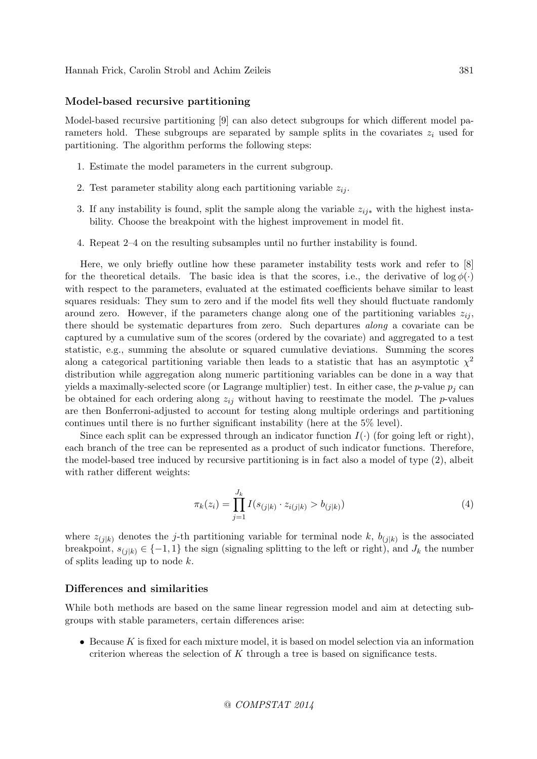#### Model-based recursive partitioning

Model-based recursive partitioning [9] can also detect subgroups for which different model parameters hold. These subgroups are separated by sample splits in the covariates  $z_i$  used for partitioning. The algorithm performs the following steps:

- 1. Estimate the model parameters in the current subgroup.
- 2. Test parameter stability along each partitioning variable  $z_{ij}$ .
- 3. If any instability is found, split the sample along the variable  $z_{ij*}$  with the highest instability. Choose the breakpoint with the highest improvement in model fit.
- 4. Repeat 2–4 on the resulting subsamples until no further instability is found.

Here, we only briefly outline how these parameter instability tests work and refer to [8] for the theoretical details. The basic idea is that the scores, i.e., the derivative of  $\log \phi(\cdot)$ with respect to the parameters, evaluated at the estimated coefficients behave similar to least squares residuals: They sum to zero and if the model fits well they should fluctuate randomly around zero. However, if the parameters change along one of the partitioning variables  $z_{ij}$ , there should be systematic departures from zero. Such departures along a covariate can be captured by a cumulative sum of the scores (ordered by the covariate) and aggregated to a test statistic, e.g., summing the absolute or squared cumulative deviations. Summing the scores along a categorical partitioning variable then leads to a statistic that has an asymptotic  $\chi^2$ distribution while aggregation along numeric partitioning variables can be done in a way that yields a maximally-selected score (or Lagrange multiplier) test. In either case, the p-value  $p_i$  can be obtained for each ordering along  $z_{ij}$  without having to reestimate the model. The p-values are then Bonferroni-adjusted to account for testing along multiple orderings and partitioning continues until there is no further significant instability (here at the 5% level).

Since each split can be expressed through an indicator function  $I(\cdot)$  (for going left or right), each branch of the tree can be represented as a product of such indicator functions. Therefore, the model-based tree induced by recursive partitioning is in fact also a model of type (2), albeit with rather different weights:

$$
\pi_k(z_i) = \prod_{j=1}^{J_k} I(s_{(j|k)} \cdot z_{i(j|k)} > b_{(j|k)})
$$
\n(4)

where  $z_{(j|k)}$  denotes the j-th partitioning variable for terminal node k,  $b_{(j|k)}$  is the associated breakpoint,  $s_{(j|k)} \in \{-1,1\}$  the sign (signaling splitting to the left or right), and  $J_k$  the number of splits leading up to node k.

#### Differences and similarities

While both methods are based on the same linear regression model and aim at detecting subgroups with stable parameters, certain differences arise:

• Because K is fixed for each mixture model, it is based on model selection via an information criterion whereas the selection of  $K$  through a tree is based on significance tests.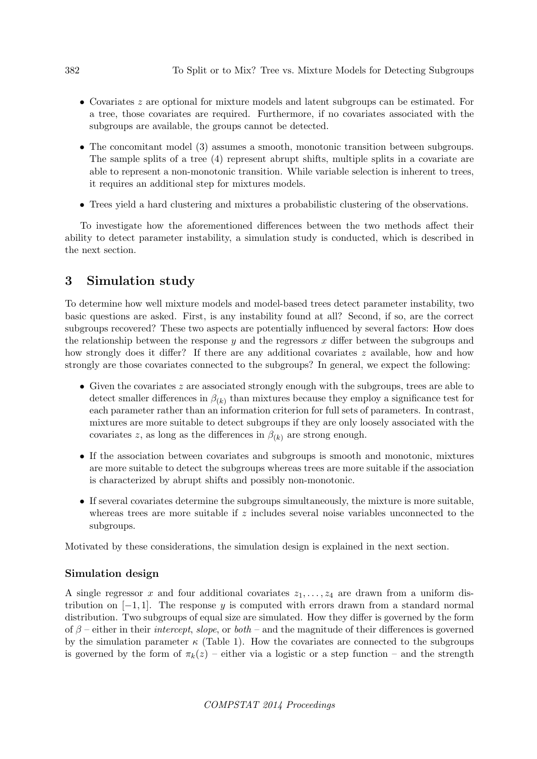- Covariates z are optional for mixture models and latent subgroups can be estimated. For a tree, those covariates are required. Furthermore, if no covariates associated with the subgroups are available, the groups cannot be detected.
- The concomitant model (3) assumes a smooth, monotonic transition between subgroups. The sample splits of a tree (4) represent abrupt shifts, multiple splits in a covariate are able to represent a non-monotonic transition. While variable selection is inherent to trees, it requires an additional step for mixtures models.
- Trees yield a hard clustering and mixtures a probabilistic clustering of the observations.

To investigate how the aforementioned differences between the two methods affect their ability to detect parameter instability, a simulation study is conducted, which is described in the next section.

# 3 Simulation study

To determine how well mixture models and model-based trees detect parameter instability, two basic questions are asked. First, is any instability found at all? Second, if so, are the correct subgroups recovered? These two aspects are potentially influenced by several factors: How does the relationship between the response  $y$  and the regressors  $x$  differ between the subgroups and how strongly does it differ? If there are any additional covariates z available, how and how strongly are those covariates connected to the subgroups? In general, we expect the following:

- Given the covariates  $z$  are associated strongly enough with the subgroups, trees are able to detect smaller differences in  $\beta_{(k)}$  than mixtures because they employ a significance test for each parameter rather than an information criterion for full sets of parameters. In contrast, mixtures are more suitable to detect subgroups if they are only loosely associated with the covariates z, as long as the differences in  $\beta_{(k)}$  are strong enough.
- If the association between covariates and subgroups is smooth and monotonic, mixtures are more suitable to detect the subgroups whereas trees are more suitable if the association is characterized by abrupt shifts and possibly non-monotonic.
- If several covariates determine the subgroups simultaneously, the mixture is more suitable, whereas trees are more suitable if z includes several noise variables unconnected to the subgroups.

Motivated by these considerations, the simulation design is explained in the next section.

## Simulation design

A single regressor x and four additional covariates  $z_1, \ldots, z_4$  are drawn from a uniform distribution on  $[-1, 1]$ . The response y is computed with errors drawn from a standard normal distribution. Two subgroups of equal size are simulated. How they differ is governed by the form of  $\beta$  – either in their *intercept, slope*, or *both* – and the magnitude of their differences is governed by the simulation parameter  $\kappa$  (Table 1). How the covariates are connected to the subgroups is governed by the form of  $\pi_k(z)$  – either via a logistic or a step function – and the strength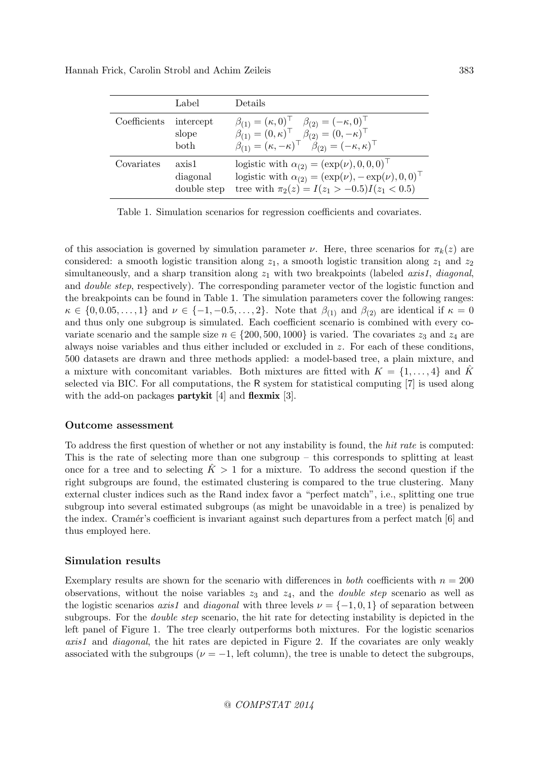|  | Hannah Frick, Carolin Strobl and Achim Zeileis |  |
|--|------------------------------------------------|--|
|--|------------------------------------------------|--|

|              | Label                                  | Details                                                                                                                                                                                                                                           |
|--------------|----------------------------------------|---------------------------------------------------------------------------------------------------------------------------------------------------------------------------------------------------------------------------------------------------|
| Coefficients | intercept<br>slope<br>$_{\text{both}}$ | $\beta_{(1)} = (\kappa, 0)^{\top}$ $\beta_{(2)} = (-\kappa, 0)^{\top}$<br>$\hat{\beta}_{(1)} = (0, \kappa)^{\top}$ $\hat{\beta}_{(2)} = (0, -\kappa)^{\top}$<br>$\beta_{(1)} = (\kappa, -\kappa)^\top \quad \beta_{(2)} = (-\kappa, \kappa)^\top$ |
| Covariates   | axis1<br>diagonal<br>double step       | logistic with $\alpha_{(2)} = (\exp(\nu), 0, 0, 0)^\top$<br>logistic with $\alpha_{(2)} = (\exp(\nu), -\exp(\nu), 0, 0)^\top$<br>tree with $\pi_2(z) = I(z_1 > -0.5)I(z_1 < 0.5)$                                                                 |

Table 1. Simulation scenarios for regression coefficients and covariates.

of this association is governed by simulation parameter  $\nu$ . Here, three scenarios for  $\pi_k(z)$  are considered: a smooth logistic transition along  $z_1$ , a smooth logistic transition along  $z_1$  and  $z_2$ simultaneously, and a sharp transition along  $z_1$  with two breakpoints (labeled *axis1*, *diagonal*, and *double step*, respectively). The corresponding parameter vector of the logistic function and the breakpoints can be found in Table 1. The simulation parameters cover the following ranges:  $\kappa \in \{0, 0.05, \ldots, 1\}$  and  $\nu \in \{-1, -0.5, \ldots, 2\}$ . Note that  $\beta_{(1)}$  and  $\beta_{(2)}$  are identical if  $\kappa = 0$ and thus only one subgroup is simulated. Each coefficient scenario is combined with every covariate scenario and the sample size  $n \in \{200, 500, 1000\}$  is varied. The covariates  $z_3$  and  $z_4$  are always noise variables and thus either included or excluded in z. For each of these conditions, 500 datasets are drawn and three methods applied: a model-based tree, a plain mixture, and a mixture with concomitant variables. Both mixtures are fitted with  $K = \{1, \ldots, 4\}$  and K selected via BIC. For all computations, the R system for statistical computing [7] is used along with the add-on packages **partykit** [4] and **flexmix** [3].

## Outcome assessment

To address the first question of whether or not any instability is found, the hit rate is computed: This is the rate of selecting more than one subgroup – this corresponds to splitting at least once for a tree and to selecting  $\tilde{K} > 1$  for a mixture. To address the second question if the right subgroups are found, the estimated clustering is compared to the true clustering. Many external cluster indices such as the Rand index favor a "perfect match", i.e., splitting one true subgroup into several estimated subgroups (as might be unavoidable in a tree) is penalized by the index. Cramér's coefficient is invariant against such departures from a perfect match [6] and thus employed here.

## Simulation results

Exemplary results are shown for the scenario with differences in *both* coefficients with  $n = 200$ observations, without the noise variables  $z_3$  and  $z_4$ , and the *double step* scenario as well as the logistic scenarios axis1 and diagonal with three levels  $\nu = \{-1, 0, 1\}$  of separation between subgroups. For the *double step* scenario, the hit rate for detecting instability is depicted in the left panel of Figure 1. The tree clearly outperforms both mixtures. For the logistic scenarios axis1 and diagonal, the hit rates are depicted in Figure 2. If the covariates are only weakly associated with the subgroups ( $\nu = -1$ , left column), the tree is unable to detect the subgroups,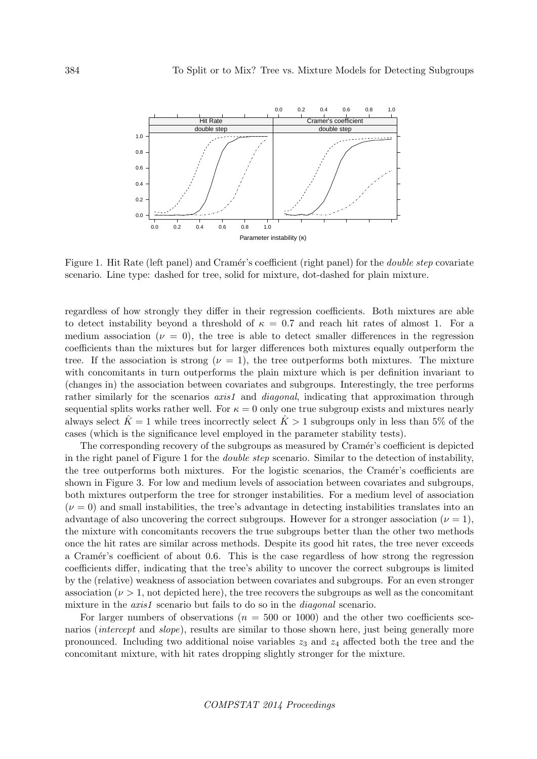

Figure 1. Hit Rate (left panel) and Cramér's coefficient (right panel) for the *double step* covariate scenario. Line type: dashed for tree, solid for mixture, dot-dashed for plain mixture.

regardless of how strongly they differ in their regression coefficients. Both mixtures are able to detect instability beyond a threshold of  $\kappa = 0.7$  and reach hit rates of almost 1. For a medium association ( $\nu = 0$ ), the tree is able to detect smaller differences in the regression coefficients than the mixtures but for larger differences both mixtures equally outperform the tree. If the association is strong ( $\nu = 1$ ), the tree outperforms both mixtures. The mixture with concomitants in turn outperforms the plain mixture which is per definition invariant to (changes in) the association between covariates and subgroups. Interestingly, the tree performs rather similarly for the scenarios *axis1* and *diagonal*, indicating that approximation through sequential splits works rather well. For  $\kappa = 0$  only one true subgroup exists and mixtures nearly always select  $\hat{K} = 1$  while trees incorrectly select  $\hat{K} > 1$  subgroups only in less than 5% of the cases (which is the significance level employed in the parameter stability tests).

The corresponding recovery of the subgroups as measured by Cramér's coefficient is depicted in the right panel of Figure 1 for the double step scenario. Similar to the detection of instability, the tree outperforms both mixtures. For the logistic scenarios, the Cramér's coefficients are shown in Figure 3. For low and medium levels of association between covariates and subgroups, both mixtures outperform the tree for stronger instabilities. For a medium level of association  $(\nu = 0)$  and small instabilities, the tree's advantage in detecting instabilities translates into an advantage of also uncovering the correct subgroups. However for a stronger association ( $\nu = 1$ ), the mixture with concomitants recovers the true subgroups better than the other two methods once the hit rates are similar across methods. Despite its good hit rates, the tree never exceeds a Cramér's coefficient of about 0.6. This is the case regardless of how strong the regression coefficients differ, indicating that the tree's ability to uncover the correct subgroups is limited by the (relative) weakness of association between covariates and subgroups. For an even stronger association ( $\nu > 1$ , not depicted here), the tree recovers the subgroups as well as the concomitant mixture in the *axis1* scenario but fails to do so in the *diagonal* scenario.

For larger numbers of observations ( $n = 500$  or 1000) and the other two coefficients scenarios *(intercept* and *slope)*, results are similar to those shown here, just being generally more pronounced. Including two additional noise variables  $z_3$  and  $z_4$  affected both the tree and the concomitant mixture, with hit rates dropping slightly stronger for the mixture.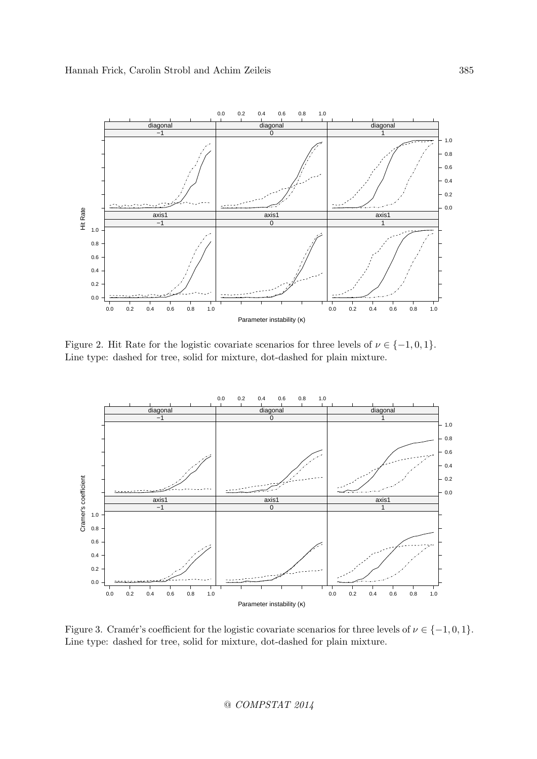

Figure 2. Hit Rate for the logistic covariate scenarios for three levels of  $\nu \in \{-1, 0, 1\}$ . Line type: dashed for tree, solid for mixture, dot-dashed for plain mixture.



Figure 3. Cramér's coefficient for the logistic covariate scenarios for three levels of  $\nu \in \{-1, 0, 1\}$ . Line type: dashed for tree, solid for mixture, dot-dashed for plain mixture.

@ COMPSTAT 2014